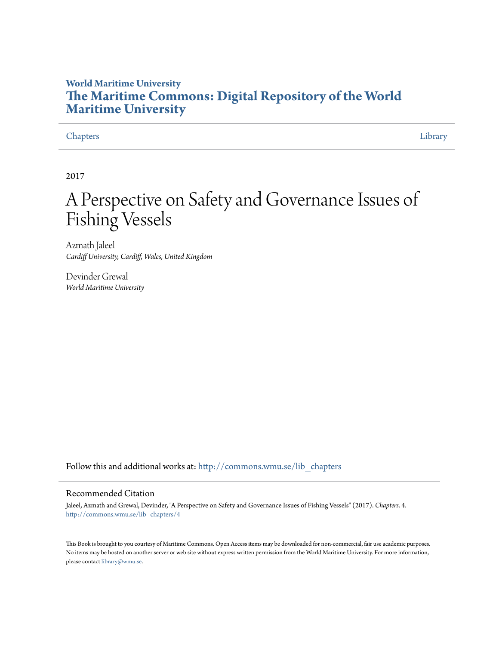# **World Maritime University [The Maritime Commons: Digital Repository of the World](http://commons.wmu.se?utm_source=commons.wmu.se%2Flib_chapters%2F4&utm_medium=PDF&utm_campaign=PDFCoverPages) [Maritime University](http://commons.wmu.se?utm_source=commons.wmu.se%2Flib_chapters%2F4&utm_medium=PDF&utm_campaign=PDFCoverPages)**

# [Chapters](http://commons.wmu.se/lib_chapters?utm_source=commons.wmu.se%2Flib_chapters%2F4&utm_medium=PDF&utm_campaign=PDFCoverPages) [Library](http://commons.wmu.se/library?utm_source=commons.wmu.se%2Flib_chapters%2F4&utm_medium=PDF&utm_campaign=PDFCoverPages)

2017

# A Perspective on Safety and Governance Issues of Fishing Vessels

Azmath Jaleel *Cardiff University, Cardiff, Wales, United Kingdom*

Devinder Grewal *World Maritime University*

Follow this and additional works at: [http://commons.wmu.se/lib\\_chapters](http://commons.wmu.se/lib_chapters?utm_source=commons.wmu.se%2Flib_chapters%2F4&utm_medium=PDF&utm_campaign=PDFCoverPages)

# Recommended Citation

Jaleel, Azmath and Grewal, Devinder, "A Perspective on Safety and Governance Issues of Fishing Vessels" (2017). *Chapters*. 4. [http://commons.wmu.se/lib\\_chapters/4](http://commons.wmu.se/lib_chapters/4?utm_source=commons.wmu.se%2Flib_chapters%2F4&utm_medium=PDF&utm_campaign=PDFCoverPages)

This Book is brought to you courtesy of Maritime Commons. Open Access items may be downloaded for non-commercial, fair use academic purposes. No items may be hosted on another server or web site without express written permission from the World Maritime University. For more information, please contact [library@wmu.se](mailto:library@wmu.edu).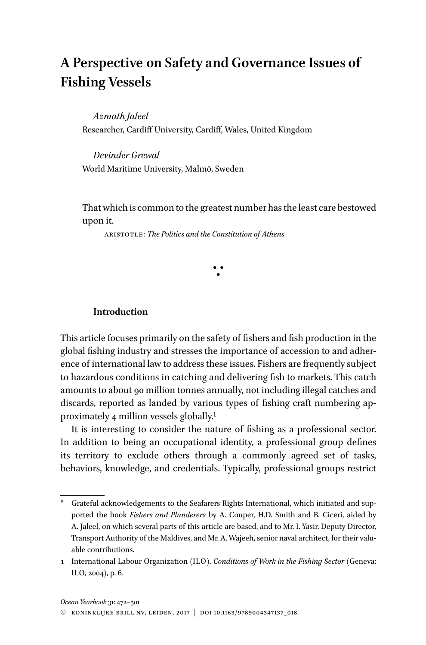# **A Perspective on Safety and Governance Issues of Fishing Vessels**

*Azmath Jaleel* Researcher, Cardiff University, Cardiff, Wales, United Kingdom

*Devinder Grewal* World Maritime University, Malmö, Sweden

That which is common to the greatest number has the least care bestowed upon it.

aristotle: *The Politics and the Constitution of Athens*

∵

#### **Introduction**

This article focuses primarily on the safety of fishers and fish production in the global fishing industry and stresses the importance of accession to and adherence of international law to address these issues. Fishers are frequently subject to hazardous conditions in catching and delivering fish to markets. This catch amounts to about 90 million tonnes annually, not including illegal catches and discards, reported as landed by various types of fishing craft numbering approximately 4 million vessels globally.1

It is interesting to consider the nature of fishing as a professional sector. In addition to being an occupational identity, a professional group defines its territory to exclude others through a commonly agreed set of tasks, behaviors, knowledge, and credentials. Typically, professional groups restrict

<sup>\*</sup> Grateful acknowledgements to the Seafarers Rights International, which initiated and supported the book *Fishers and Plunderers* by A. Couper, H.D. Smith and B. Ciceri, aided by A. Jaleel, on which several parts of this article are based, and to Mr. I. Yasir, Deputy Director, Transport Authority of the Maldives, and Mr. A. Wajeeh, senior naval architect, for their valuable contributions.

<sup>1</sup> International Labour Organization (ILO), *Conditions of Work in the Fishing Sector* (Geneva: ILO, 2004), p. 6.

<sup>©</sup> koninklijke brill nv, leiden, ���7 | doi 10.1163/9789004347137\_018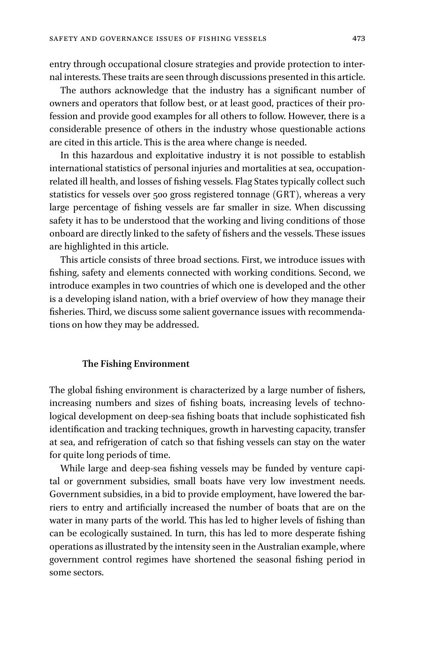entry through occupational closure strategies and provide protection to internal interests. These traits are seen through discussions presented in this article.

The authors acknowledge that the industry has a significant number of owners and operators that follow best, or at least good, practices of their profession and provide good examples for all others to follow. However, there is a considerable presence of others in the industry whose questionable actions are cited in this article. This is the area where change is needed.

In this hazardous and exploitative industry it is not possible to establish international statistics of personal injuries and mortalities at sea, occupationrelated ill health, and losses of fishing vessels. Flag States typically collect such statistics for vessels over 500 gross registered tonnage (GRT), whereas a very large percentage of fishing vessels are far smaller in size. When discussing safety it has to be understood that the working and living conditions of those onboard are directly linked to the safety of fishers and the vessels. These issues are highlighted in this article.

This article consists of three broad sections. First, we introduce issues with fishing, safety and elements connected with working conditions. Second, we introduce examples in two countries of which one is developed and the other is a developing island nation, with a brief overview of how they manage their fisheries. Third, we discuss some salient governance issues with recommendations on how they may be addressed.

#### **The Fishing Environment**

The global fishing environment is characterized by a large number of fishers, increasing numbers and sizes of fishing boats, increasing levels of technological development on deep-sea fishing boats that include sophisticated fish identification and tracking techniques, growth in harvesting capacity, transfer at sea, and refrigeration of catch so that fishing vessels can stay on the water for quite long periods of time.

While large and deep-sea fishing vessels may be funded by venture capital or government subsidies, small boats have very low investment needs. Government subsidies, in a bid to provide employment, have lowered the barriers to entry and artificially increased the number of boats that are on the water in many parts of the world. This has led to higher levels of fishing than can be ecologically sustained. In turn, this has led to more desperate fishing operations as illustrated by the intensity seen in the Australian example, where government control regimes have shortened the seasonal fishing period in some sectors.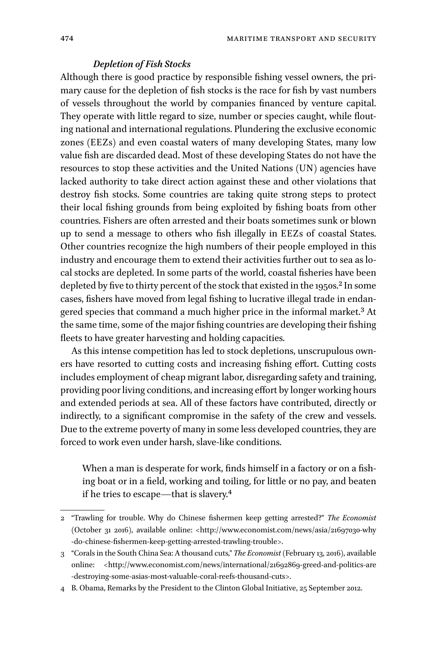### *Depletion of Fish Stocks*

Although there is good practice by responsible fishing vessel owners, the primary cause for the depletion of fish stocks is the race for fish by vast numbers of vessels throughout the world by companies financed by venture capital. They operate with little regard to size, number or species caught, while flouting national and international regulations. Plundering the exclusive economic zones (EEZs) and even coastal waters of many developing States, many low value fish are discarded dead. Most of these developing States do not have the resources to stop these activities and the United Nations (UN) agencies have lacked authority to take direct action against these and other violations that destroy fish stocks. Some countries are taking quite strong steps to protect their local fishing grounds from being exploited by fishing boats from other countries. Fishers are often arrested and their boats sometimes sunk or blown up to send a message to others who fish illegally in EEZs of coastal States. Other countries recognize the high numbers of their people employed in this industry and encourage them to extend their activities further out to sea as local stocks are depleted. In some parts of the world, coastal fisheries have been depleted by five to thirty percent of the stock that existed in the 1950s.<sup>2</sup> In some cases, fishers have moved from legal fishing to lucrative illegal trade in endangered species that command a much higher price in the informal market.<sup>3</sup> At the same time, some of the major fishing countries are developing their fishing fleets to have greater harvesting and holding capacities.

As this intense competition has led to stock depletions, unscrupulous owners have resorted to cutting costs and increasing fishing effort. Cutting costs includes employment of cheap migrant labor, disregarding safety and training, providing poor living conditions, and increasing effort by longer working hours and extended periods at sea. All of these factors have contributed, directly or indirectly, to a significant compromise in the safety of the crew and vessels. Due to the extreme poverty of many in some less developed countries, they are forced to work even under harsh, slave-like conditions.

When a man is desperate for work, finds himself in a factory or on a fishing boat or in a field, working and toiling, for little or no pay, and beaten if he tries to escape—that is slavery.4

<sup>2</sup> "Trawling for trouble. Why do Chinese fishermen keep getting arrested?" *The Economist* (October 31 2016), available online: [<http://www.economist.com/news/asia/21697030-why](http://www.economist.com/news/asia/21697030-why-do-chinese-fishermen-keep-getting-arrested-trawling-trouble) [-do-chinese-fishermen-keep-getting-arrested-trawling-trouble](http://www.economist.com/news/asia/21697030-why-do-chinese-fishermen-keep-getting-arrested-trawling-trouble)>.

<sup>3</sup> "Corals in the South China Sea: A thousand cuts," *The Economist* (February 13, 2016), available online: <[http://www.economist.com/news/international/21692869-greed-and-politics-are](http://www.economist.com/news/international/21692869-greed-and-politics-are-destroying-some-asias-most-valuable-coral-reefs-thousand-cuts) [-destroying-some-asias-most-valuable-coral-reefs-thousand-cuts](http://www.economist.com/news/international/21692869-greed-and-politics-are-destroying-some-asias-most-valuable-coral-reefs-thousand-cuts)>.

<sup>4</sup> B. Obama, Remarks by the President to the Clinton Global Initiative, 25 September 2012.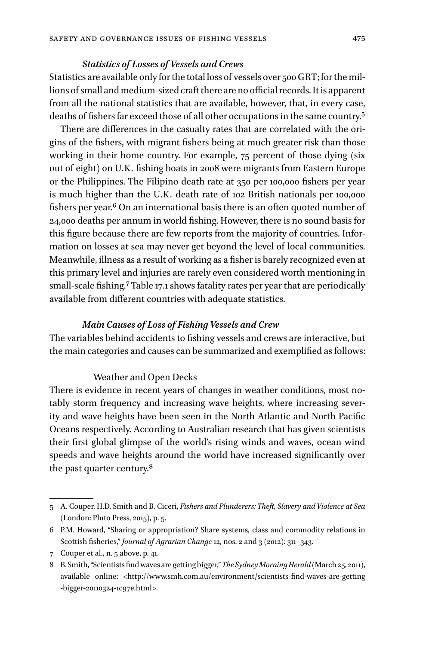# *Statistics of Losses of Vessels and Crews*

Statistics are available only for the total loss of vessels over 500 GRT; for the millions of small and medium-sized craft there are no official records. It is apparent from all the national statistics that are available, however, that, in every case, deaths of fishers far exceed those of all other occupations in the same country.5

There are differences in the casualty rates that are correlated with the origins of the fishers, with migrant fishers being at much greater risk than those working in their home country. For example, 75 percent of those dying (six out of eight) on U.K. fishing boats in 2008 were migrants from Eastern Europe or the Philippines. The Filipino death rate at 350 per 100,000 fishers per year is much higher than the U.K. death rate of 102 British nationals per 100,000 fishers per year.<sup>6</sup> On an international basis there is an often quoted number of 24,000 deaths per annum in world fishing. However, there is no sound basis for this figure because there are few reports from the majority of countries. Information on losses at sea may never get beyond the level of local communities. Meanwhile, illness as a result of working as a fisher is barely recognized even at this primary level and injuries are rarely even considered worth mentioning in small-scale fishing.<sup>7</sup> Table 17.1 shows fatality rates per year that are periodically available from different countries with adequate statistics.

#### *Main Causes of Loss of Fishing Vessels and Crew*

The variables behind accidents to fishing vessels and crews are interactive, but the main categories and causes can be summarized and exemplified as follows:

#### Weather and Open Decks

There is evidence in recent years of changes in weather conditions, most notably storm frequency and increasing wave heights, where increasing severity and wave heights have been seen in the North Atlantic and North Pacific Oceans respectively. According to Australian research that has given scientists their first global glimpse of the world's rising winds and waves, ocean wind speeds and wave heights around the world have increased significantly over the past quarter century.8

<sup>5</sup> A. Couper, H.D. Smith and B. Ciceri, *Fishers and Plunderers: Theft, Slavery and Violence at Sea* (London: Pluto Press, 2015), p. 5.

<sup>6</sup> P.M. Howard, "Sharing or appropriation? Share systems, class and commodity relations in Scottish fisheries," *Journal of Agrarian Change* 12, nos. 2 and 3 (2012): 311–343.

<sup>7</sup> Couper et al., n. 5 above, p. 41.

<sup>8</sup> B. Smith, "Scientists find waves are getting bigger," *The Sydney Morning Herald* (March 25, 2011), available online: [<http://www.smh.com.au/environment/scientists-find-waves-are-getting](http://www.smh.com.au/environment/scientists-find-waves-are-getting-bigger-20110324-1c97e.html) [-bigger-20110324-1c97e.html>](http://www.smh.com.au/environment/scientists-find-waves-are-getting-bigger-20110324-1c97e.html).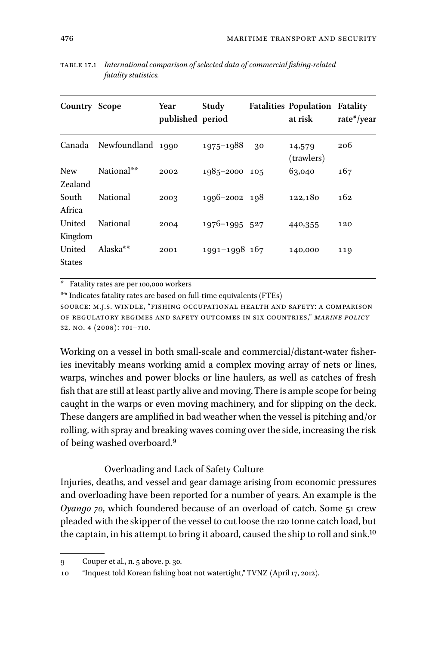| Country Scope           |                   | Year<br>published period | Study               |    | <b>Fatalities Population Fatality</b><br>at risk | rate*/year |
|-------------------------|-------------------|--------------------------|---------------------|----|--------------------------------------------------|------------|
| Canada                  | Newfoundland 1990 |                          | $1975 - 1988$       | 30 | 14,579<br>(trawlers)                             | 206        |
| <b>New</b><br>Zealand   | National**        | 2002                     | 1985-2000 105       |    | 63,040                                           | 167        |
| South<br>Africa         | National          | 2003                     | 1996-2002 198       |    | 122,180                                          | 162        |
| United<br>Kingdom       | National          | 2004                     | 1976-1995 527       |    | 440,355                                          | 120        |
| United<br><b>States</b> | Alaska**          | 2001                     | $1991 - 1998$ $167$ |    | 140,000                                          | 119        |

Table 17.1 *International comparison of selected data of commercial fishing-related fatality statistics.*

Fatality rates are per 100,000 workers

\*\* Indicates fatality rates are based on full-time equivalents (FTEs) Source: M.J.S. Windle, "Fishing occupational health and safety: A comparison of regulatory regimes and safety outcomes in six countries," *Marine Policy* 32, no. 4 (2008): 701–710.

Working on a vessel in both small-scale and commercial/distant-water fisheries inevitably means working amid a complex moving array of nets or lines, warps, winches and power blocks or line haulers, as well as catches of fresh fish that are still at least partly alive and moving. There is ample scope for being caught in the warps or even moving machinery, and for slipping on the deck. These dangers are amplified in bad weather when the vessel is pitching and/or rolling, with spray and breaking waves coming over the side, increasing the risk of being washed overboard.9

# Overloading and Lack of Safety Culture

Injuries, deaths, and vessel and gear damage arising from economic pressures and overloading have been reported for a number of years. An example is the *Oyango 70*, which foundered because of an overload of catch. Some 51 crew pleaded with the skipper of the vessel to cut loose the 120 tonne catch load, but the captain, in his attempt to bring it aboard, caused the ship to roll and sink.10

<sup>9</sup> Couper et al., n. 5 above, p. 30.

<sup>10</sup> "Inquest told Korean fishing boat not watertight," TVNZ (April 17, 2012).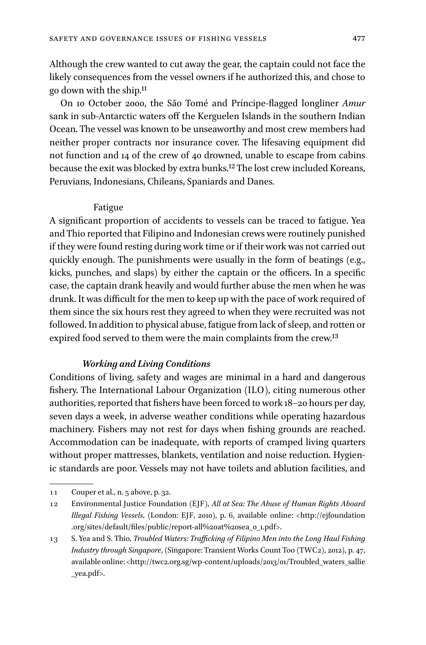Although the crew wanted to cut away the gear, the captain could not face the likely consequences from the vessel owners if he authorized this, and chose to go down with the ship.11

On 10 October 2000, the São Tomé and Príncipe-flagged longliner *Amur* sank in sub-Antarctic waters off the Kerguelen Islands in the southern Indian Ocean. The vessel was known to be unseaworthy and most crew members had neither proper contracts nor insurance cover. The lifesaving equipment did not function and 14 of the crew of 40 drowned, unable to escape from cabins because the exit was blocked by extra bunks.12 The lost crew included Koreans, Peruvians, Indonesians, Chileans, Spaniards and Danes.

#### Fatigue

A significant proportion of accidents to vessels can be traced to fatigue. Yea and Thio reported that Filipino and Indonesian crews were routinely punished if they were found resting during work time or if their work was not carried out quickly enough. The punishments were usually in the form of beatings (e.g., kicks, punches, and slaps) by either the captain or the officers. In a specific case, the captain drank heavily and would further abuse the men when he was drunk. It was difficult for the men to keep up with the pace of work required of them since the six hours rest they agreed to when they were recruited was not followed. In addition to physical abuse, fatigue from lack of sleep, and rotten or expired food served to them were the main complaints from the crew.<sup>13</sup>

#### *Working and Living Conditions*

Conditions of living, safety and wages are minimal in a hard and dangerous fishery. The International Labour Organization (ILO), citing numerous other authorities, reported that fishers have been forced to work 18–20 hours per day, seven days a week, in adverse weather conditions while operating hazardous machinery. Fishers may not rest for days when fishing grounds are reached. Accommodation can be inadequate, with reports of cramped living quarters without proper mattresses, blankets, ventilation and noise reduction. Hygienic standards are poor. Vessels may not have toilets and ablution facilities, and

<sup>11</sup> Couper et al., n. 5 above, p. 32.

<sup>12</sup> Environmental Justice Foundation (EJF), *All at Sea: The Abuse of Human Rights Aboard Illegal Fishing Vessels*, (London: EJF, 2010), p. 6, available online: [<http://ejfoundation](http://ejfoundation.org/sites/default/files/public/report-all%20at%20sea_0_1.pdf) [.org/sites/default/files/public/report-all%20at%20sea\\_0\\_1.pdf>](http://ejfoundation.org/sites/default/files/public/report-all%20at%20sea_0_1.pdf).

<sup>13</sup> S. Yea and S. Thio, *Troubled Waters: Trafficking of Filipino Men into the Long Haul Fishing Industry through Singapore*, (Singapore: Transient Works Count Too (TWC2), 2012), p. 47, available online: <[http://twc2.org.sg/wp-content/uploads/2013/01/Troubled\\_waters\\_sallie](http://twc2.org.sg/wp-content/uploads/2013/01/Troubled_waters_sallie_yea.pdf) [\\_yea.pdf](http://twc2.org.sg/wp-content/uploads/2013/01/Troubled_waters_sallie_yea.pdf)>.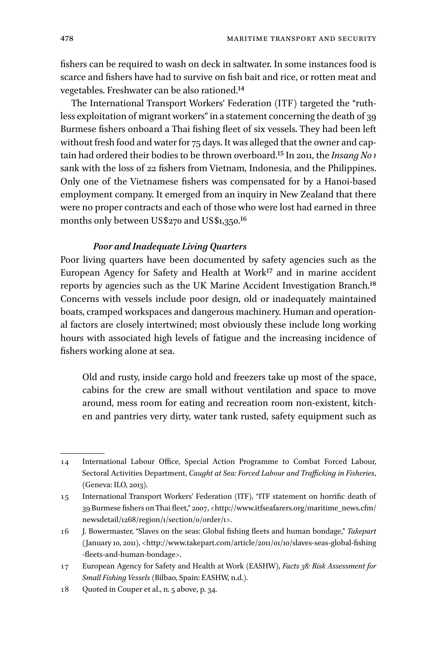fishers can be required to wash on deck in saltwater. In some instances food is scarce and fishers have had to survive on fish bait and rice, or rotten meat and vegetables. Freshwater can be also rationed.14

The International Transport Workers' Federation (ITF) targeted the "ruthless exploitation of migrant workers" in a statement concerning the death of 39 Burmese fishers onboard a Thai fishing fleet of six vessels. They had been left without fresh food and water for 75 days. It was alleged that the owner and captain had ordered their bodies to be thrown overboard.15 In 2011, the *Insang No 1* sank with the loss of 22 fishers from Vietnam, Indonesia, and the Philippines. Only one of the Vietnamese fishers was compensated for by a Hanoi-based employment company. It emerged from an inquiry in New Zealand that there were no proper contracts and each of those who were lost had earned in three months only between US\$270 and US\$1,350.16

# *Poor and Inadequate Living Quarters*

Poor living quarters have been documented by safety agencies such as the European Agency for Safety and Health at Work<sup>17</sup> and in marine accident reports by agencies such as the UK Marine Accident Investigation Branch.18 Concerns with vessels include poor design, old or inadequately maintained boats, cramped workspaces and dangerous machinery. Human and operational factors are closely intertwined; most obviously these include long working hours with associated high levels of fatigue and the increasing incidence of fishers working alone at sea.

Old and rusty, inside cargo hold and freezers take up most of the space, cabins for the crew are small without ventilation and space to move around, mess room for eating and recreation room non-existent, kitchen and pantries very dirty, water tank rusted, safety equipment such as

<sup>14</sup> International Labour Office, Special Action Programme to Combat Forced Labour, Sectoral Activities Department, *Caught at Sea: Forced Labour and Trafficking in Fisheries*, (Geneva: ILO, 2013).

<sup>15</sup> International Transport Workers' Federation (ITF), "ITF statement on horrific death of 39 Burmese fishers on Thai fleet," 2007, <[http://www.itfseafarers.org/maritime\\_news.cfm/](http://www.itfseafarers.org/maritime_news.cfm/newsdetail/1268/region/1/section/0/order/1) [newsdetail/1268/region/1/section/0/order/1](http://www.itfseafarers.org/maritime_news.cfm/newsdetail/1268/region/1/section/0/order/1)>.

<sup>16</sup> J. Bowermaster, "Slaves on the seas: Global fishing fleets and human bondage," *Takepart* (January 10, 2011), [<http://www.takepart.com/article/2011/01/10/slaves-seas-global-fishing](http://www.takepart.com/article/2011/01/10/slaves-seas-global-fishing-fleets-and-human-bondage) [-fleets-and-human-bondage](http://www.takepart.com/article/2011/01/10/slaves-seas-global-fishing-fleets-and-human-bondage)>.

<sup>17</sup> European Agency for Safety and Health at Work (EASHW), *Facts 38: Risk Assessment for Small Fishing Vessels* (Bilbao, Spain: EASHW, n.d.).

<sup>18</sup> Quoted in Couper et al., n. 5 above, p. 34.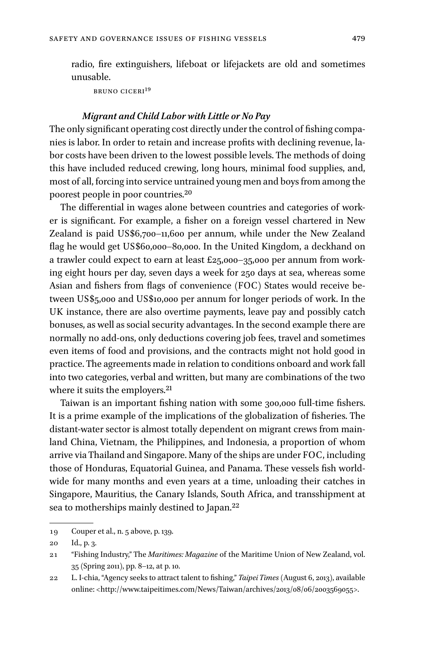radio, fire extinguishers, lifeboat or lifejackets are old and sometimes unusable.

Bruno Ciceri19

## *Migrant and Child Labor with Little or No Pay*

The only significant operating cost directly under the control of fishing companies is labor. In order to retain and increase profits with declining revenue, labor costs have been driven to the lowest possible levels. The methods of doing this have included reduced crewing, long hours, minimal food supplies, and, most of all, forcing into service untrained young men and boys from among the poorest people in poor countries.20

The differential in wages alone between countries and categories of worker is significant. For example, a fisher on a foreign vessel chartered in New Zealand is paid US\$6,700–11,600 per annum, while under the New Zealand flag he would get US\$60,000–80,000. In the United Kingdom, a deckhand on a trawler could expect to earn at least £25,000–35,000 per annum from working eight hours per day, seven days a week for 250 days at sea, whereas some Asian and fishers from flags of convenience (FOC) States would receive between US\$5,000 and US\$10,000 per annum for longer periods of work. In the UK instance, there are also overtime payments, leave pay and possibly catch bonuses, as well as social security advantages. In the second example there are normally no add-ons, only deductions covering job fees, travel and sometimes even items of food and provisions, and the contracts might not hold good in practice. The agreements made in relation to conditions onboard and work fall into two categories, verbal and written, but many are combinations of the two where it suits the employers.<sup>21</sup>

Taiwan is an important fishing nation with some 300,000 full-time fishers. It is a prime example of the implications of the globalization of fisheries. The distant-water sector is almost totally dependent on migrant crews from mainland China, Vietnam, the Philippines, and Indonesia, a proportion of whom arrive via Thailand and Singapore. Many of the ships are under FOC, including those of Honduras, Equatorial Guinea, and Panama. These vessels fish worldwide for many months and even years at a time, unloading their catches in Singapore, Mauritius, the Canary Islands, South Africa, and transshipment at sea to motherships mainly destined to Japan.<sup>22</sup>

<sup>19</sup> Couper et al., n. 5 above, p. 139.

<sup>20</sup> Id., p. 3.

<sup>21</sup> "Fishing Industry," The *Maritimes: Magazine* of the Maritime Union of New Zealand, vol. 35 (Spring 2011), pp. 8–12, at p. 10.

<sup>22</sup> L. I-chia, "Agency seeks to attract talent to fishing," *Taipei Times* (August 6, 2013), available online: <[http://www.taipeitimes.com/News/Taiwan/archives/2013/08/06/2003569055>](http://www.taipeitimes.com/News/Taiwan/archives/2013/08/06/2003569055).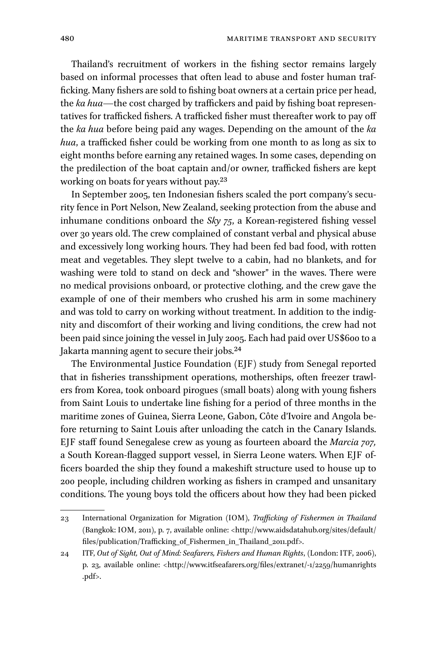Thailand's recruitment of workers in the fishing sector remains largely based on informal processes that often lead to abuse and foster human trafficking. Many fishers are sold to fishing boat owners at a certain price per head, the *ka hua*—the cost charged by traffickers and paid by fishing boat representatives for trafficked fishers. A trafficked fisher must thereafter work to pay off the *ka hua* before being paid any wages. Depending on the amount of the *ka hua*, a trafficked fisher could be working from one month to as long as six to eight months before earning any retained wages. In some cases, depending on the predilection of the boat captain and/or owner, trafficked fishers are kept working on boats for years without pay.23

In September 2005, ten Indonesian fishers scaled the port company's security fence in Port Nelson, New Zealand, seeking protection from the abuse and inhumane conditions onboard the *Sky 75*, a Korean-registered fishing vessel over 30 years old. The crew complained of constant verbal and physical abuse and excessively long working hours. They had been fed bad food, with rotten meat and vegetables. They slept twelve to a cabin, had no blankets, and for washing were told to stand on deck and "shower" in the waves. There were no medical provisions onboard, or protective clothing, and the crew gave the example of one of their members who crushed his arm in some machinery and was told to carry on working without treatment. In addition to the indignity and discomfort of their working and living conditions, the crew had not been paid since joining the vessel in July 2005. Each had paid over US\$600 to a Jakarta manning agent to secure their jobs.24

The Environmental Justice Foundation (EJF) study from Senegal reported that in fisheries transshipment operations, motherships, often freezer trawlers from Korea, took onboard pirogues (small boats) along with young fishers from Saint Louis to undertake line fishing for a period of three months in the maritime zones of Guinea, Sierra Leone, Gabon, Côte d'Ivoire and Angola before returning to Saint Louis after unloading the catch in the Canary Islands. EJF staff found Senegalese crew as young as fourteen aboard the *Marcia 707,* a South Korean-flagged support vessel, in Sierra Leone waters. When EJF officers boarded the ship they found a makeshift structure used to house up to 200 people, including children working as fishers in cramped and unsanitary conditions. The young boys told the officers about how they had been picked

<sup>23</sup> International Organization for Migration (IOM), *Trafficking of Fishermen in Thailand* (Bangkok: IOM, 2011), p. 7, available online: <[http://www.aidsdatahub.org/sites/default/](http://www.aidsdatahub.org/sites/default/files/publication/Trafficking_of_Fishermen_in_Thailand_2011.pdf) [files/publication/Trafficking\\_of\\_Fishermen\\_in\\_Thailand\\_2011.pdf>](http://www.aidsdatahub.org/sites/default/files/publication/Trafficking_of_Fishermen_in_Thailand_2011.pdf).

<sup>24</sup> ITF, *Out of Sight, Out of Mind: Seafarers, Fishers and Human Rights*, (London: ITF, 2006), p. 23, available online: <[http://www.itfseafarers.org/files/extranet/-1/2259/humanrights](http://www.itfseafarers.org/files/extranet/-1/2259/humanrights.pdf) [.pdf](http://www.itfseafarers.org/files/extranet/-1/2259/humanrights.pdf)>.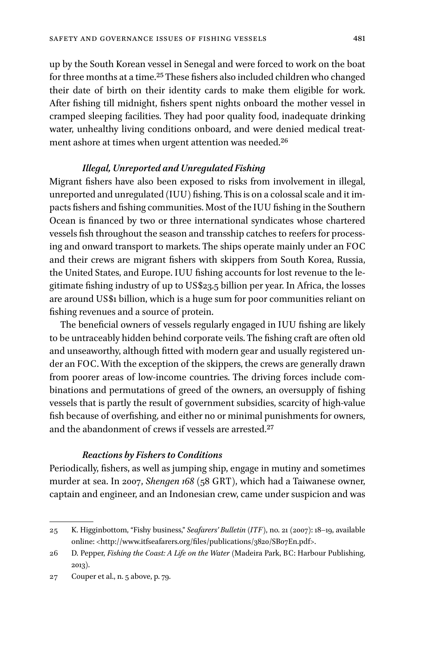up by the South Korean vessel in Senegal and were forced to work on the boat for three months at a time.<sup>25</sup> These fishers also included children who changed their date of birth on their identity cards to make them eligible for work. After fishing till midnight, fishers spent nights onboard the mother vessel in cramped sleeping facilities. They had poor quality food, inadequate drinking water, unhealthy living conditions onboard, and were denied medical treatment ashore at times when urgent attention was needed.26

# *Illegal, Unreported and Unregulated Fishing*

Migrant fishers have also been exposed to risks from involvement in illegal, unreported and unregulated (IUU) fishing. This is on a colossal scale and it impacts fishers and fishing communities. Most of the IUU fishing in the Southern Ocean is financed by two or three international syndicates whose chartered vessels fish throughout the season and transship catches to reefers for processing and onward transport to markets. The ships operate mainly under an FOC and their crews are migrant fishers with skippers from South Korea, Russia, the United States, and Europe. IUU fishing accounts for lost revenue to the legitimate fishing industry of up to US\$23.5 billion per year. In Africa, the losses are around US\$1 billion, which is a huge sum for poor communities reliant on fishing revenues and a source of protein.

The beneficial owners of vessels regularly engaged in IUU fishing are likely to be untraceably hidden behind corporate veils. The fishing craft are often old and unseaworthy, although fitted with modern gear and usually registered under an FOC. With the exception of the skippers, the crews are generally drawn from poorer areas of low-income countries. The driving forces include combinations and permutations of greed of the owners, an oversupply of fishing vessels that is partly the result of government subsidies, scarcity of high-value fish because of overfishing, and either no or minimal punishments for owners, and the abandonment of crews if vessels are arrested.<sup>27</sup>

#### *Reactions by Fishers to Conditions*

Periodically, fishers, as well as jumping ship, engage in mutiny and sometimes murder at sea. In 2007, *Shengen 168* (58 GRT), which had a Taiwanese owner, captain and engineer, and an Indonesian crew, came under suspicion and was

<sup>25</sup> K. Higginbottom, "Fishy business," *Seafarers' Bulletin (ITF)*, no. 21 (2007): 18–19, available online: <<http://www.itfseafarers.org/files/publications/3820/SB07En.pdf>>.

<sup>26</sup> D. Pepper, *Fishing the Coast: A Life on the Water* (Madeira Park, BC: Harbour Publishing, 2013).

<sup>27</sup> Couper et al., n. 5 above, p. 79.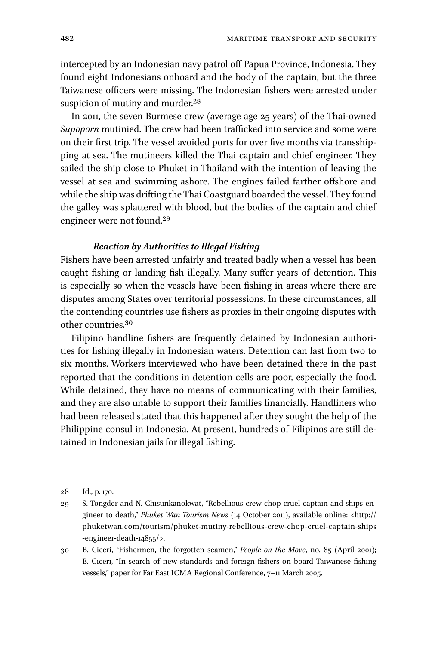intercepted by an Indonesian navy patrol off Papua Province, Indonesia. They found eight Indonesians onboard and the body of the captain, but the three Taiwanese officers were missing. The Indonesian fishers were arrested under suspicion of mutiny and murder.<sup>28</sup>

In 2011, the seven Burmese crew (average age 25 years) of the Thai-owned *Supoporn* mutinied. The crew had been trafficked into service and some were on their first trip. The vessel avoided ports for over five months via transshipping at sea. The mutineers killed the Thai captain and chief engineer. They sailed the ship close to Phuket in Thailand with the intention of leaving the vessel at sea and swimming ashore. The engines failed farther offshore and while the ship was drifting the Thai Coastguard boarded the vessel. They found the galley was splattered with blood, but the bodies of the captain and chief engineer were not found.29

# *Reaction by Authorities to Illegal Fishing*

Fishers have been arrested unfairly and treated badly when a vessel has been caught fishing or landing fish illegally. Many suffer years of detention. This is especially so when the vessels have been fishing in areas where there are disputes among States over territorial possessions. In these circumstances, all the contending countries use fishers as proxies in their ongoing disputes with other countries.30

Filipino handline fishers are frequently detained by Indonesian authorities for fishing illegally in Indonesian waters. Detention can last from two to six months. Workers interviewed who have been detained there in the past reported that the conditions in detention cells are poor, especially the food. While detained, they have no means of communicating with their families, and they are also unable to support their families financially. Handliners who had been released stated that this happened after they sought the help of the Philippine consul in Indonesia. At present, hundreds of Filipinos are still detained in Indonesian jails for illegal fishing.

<sup>28</sup> Id., p. 170.

<sup>29</sup> S. Tongder and N. Chisunkanokwat, "Rebellious crew chop cruel captain and ships engineer to death," *Phuket Wan Tourism News* (14 October 2011), available online: <[http://](http://phuketwan.com/tourism/phuket-mutiny-rebellious-crew-chop-cruel-captain-ships-engineer-death-14855/) [phuketwan.com/tourism/phuket-mutiny-rebellious-crew-chop-cruel-captain-ships](http://phuketwan.com/tourism/phuket-mutiny-rebellious-crew-chop-cruel-captain-ships-engineer-death-14855/) [-engineer-death-14855/](http://phuketwan.com/tourism/phuket-mutiny-rebellious-crew-chop-cruel-captain-ships-engineer-death-14855/)>.

<sup>30</sup> B. Ciceri, "Fishermen, the forgotten seamen," *People on the Move*, no. 85 (April 2001); B. Ciceri, "In search of new standards and foreign fishers on board Taiwanese fishing vessels," paper for Far East ICMA Regional Conference, 7–11 March 2005.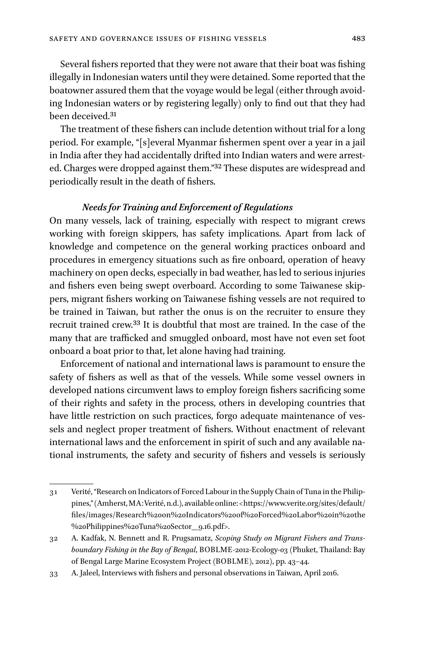Several fishers reported that they were not aware that their boat was fishing illegally in Indonesian waters until they were detained. Some reported that the boatowner assured them that the voyage would be legal (either through avoiding Indonesian waters or by registering legally) only to find out that they had been deceived.<sup>31</sup>

The treatment of these fishers can include detention without trial for a long period. For example, "[s]everal Myanmar fishermen spent over a year in a jail in India after they had accidentally drifted into Indian waters and were arrested. Charges were dropped against them."32 These disputes are widespread and periodically result in the death of fishers.

#### *Needs for Training and Enforcement of Regulations*

On many vessels, lack of training, especially with respect to migrant crews working with foreign skippers, has safety implications. Apart from lack of knowledge and competence on the general working practices onboard and procedures in emergency situations such as fire onboard, operation of heavy machinery on open decks, especially in bad weather, has led to serious injuries and fishers even being swept overboard. According to some Taiwanese skippers, migrant fishers working on Taiwanese fishing vessels are not required to be trained in Taiwan, but rather the onus is on the recruiter to ensure they recruit trained crew.33 It is doubtful that most are trained. In the case of the many that are trafficked and smuggled onboard, most have not even set foot onboard a boat prior to that, let alone having had training.

Enforcement of national and international laws is paramount to ensure the safety of fishers as well as that of the vessels. While some vessel owners in developed nations circumvent laws to employ foreign fishers sacrificing some of their rights and safety in the process, others in developing countries that have little restriction on such practices, forgo adequate maintenance of vessels and neglect proper treatment of fishers. Without enactment of relevant international laws and the enforcement in spirit of such and any available national instruments, the safety and security of fishers and vessels is seriously

<sup>31</sup> Verité, "Research on Indicators of Forced Labour in the Supply Chain of Tuna in the Philippines," (Amherst, MA: Verité, n.d.), available online: [<https://www.verite.org/sites/default/](https://www.verite.org/sites/default/files/images/Research%20on%20Indicators%20of%20Forced%20Labor%20in%20the%20Philippines%20Tuna%20Sector__9.16.pdf) [files/images/Research%20on%20Indicators%20of%20Forced%20Labor%20in%20the](https://www.verite.org/sites/default/files/images/Research%20on%20Indicators%20of%20Forced%20Labor%20in%20the%20Philippines%20Tuna%20Sector__9.16.pdf) [%20Philippines%20Tuna%20Sector\\_\\_9.16.pdf](https://www.verite.org/sites/default/files/images/Research%20on%20Indicators%20of%20Forced%20Labor%20in%20the%20Philippines%20Tuna%20Sector__9.16.pdf)>.

<sup>32</sup> A. Kadfak, N. Bennett and R. Prugsamatz, *Scoping Study on Migrant Fishers and Transboundary Fishing in the Bay of Bengal*, BOBLME-2012-Ecology-03 (Phuket, Thailand: Bay of Bengal Large Marine Ecosystem Project (BOBLME), 2012), pp. 43–44.

<sup>33</sup> A. Jaleel, Interviews with fishers and personal observations in Taiwan, April 2016.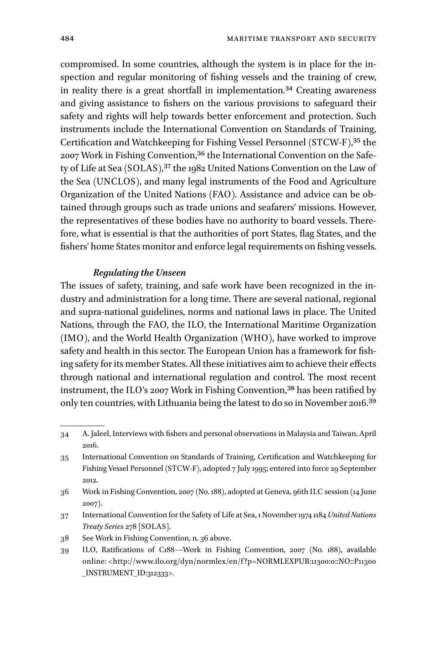compromised. In some countries, although the system is in place for the inspection and regular monitoring of fishing vessels and the training of crew, in reality there is a great shortfall in implementation.<sup>34</sup> Creating awareness and giving assistance to fishers on the various provisions to safeguard their safety and rights will help towards better enforcement and protection. Such instruments include the International Convention on Standards of Training, Certification and Watchkeeping for Fishing Vessel Personnel (STCW-F),35 the 2007 Work in Fishing Convention,36 the International Convention on the Safety of Life at Sea (SOLAS), <sup>37</sup> the 1982 United Nations Convention on the Law of the Sea (UNCLOS), and many legal instruments of the Food and Agriculture Organization of the United Nations (FAO). Assistance and advice can be obtained through groups such as trade unions and seafarers' missions. However, the representatives of these bodies have no authority to board vessels. Therefore, what is essential is that the authorities of port States, flag States, and the fishers' home States monitor and enforce legal requirements on fishing vessels.

#### *Regulating the Unseen*

The issues of safety, training, and safe work have been recognized in the industry and administration for a long time. There are several national, regional and supra-national guidelines, norms and national laws in place. The United Nations, through the FAO, the ILO, the International Maritime Organization (IMO), and the World Health Organization (WHO), have worked to improve safety and health in this sector. The European Union has a framework for fishing safety for its member States. All these initiatives aim to achieve their effects through national and international regulation and control. The most recent instrument, the ILO's 2007 Work in Fishing Convention,<sup>38</sup> has been ratified by only ten countries, with Lithuania being the latest to do so in November 2016.<sup>39</sup>

<sup>34</sup> A. Jaleel, Interviews with fishers and personal observations in Malaysia and Taiwan, April 2016.

<sup>35</sup> International Convention on Standards of Training, Certification and Watchkeeping for Fishing Vessel Personnel (STCW-F), adopted 7 July 1995; entered into force 29 September 2012.

<sup>36</sup> Work in Fishing Convention, 2007 (No. 188), adopted at Geneva, 96th ILC session (14 June 2007).

<sup>37</sup> International Convention for the Safety of Life at Sea, 1 November 1974 1184 *United Nations Treaty Series* 278 [SOLAS].

<sup>38</sup> See Work in Fishing Convention, n. 36 above.

<sup>39</sup> ILO, Ratifications of C188—Work in Fishing Convention, 2007 (No. 188), available online: [<http://www.ilo.org/dyn/normlex/en/f?p=NORMLEXPUB:11300:0::NO::P11300](http://www.ilo.org/dyn/normlex/en/f?p=NORMLEXPUB:11300:0::NO::P11300_INSTRUMENT_ID:312333) [\\_INSTRUMENT\\_ID:312333>](http://www.ilo.org/dyn/normlex/en/f?p=NORMLEXPUB:11300:0::NO::P11300_INSTRUMENT_ID:312333).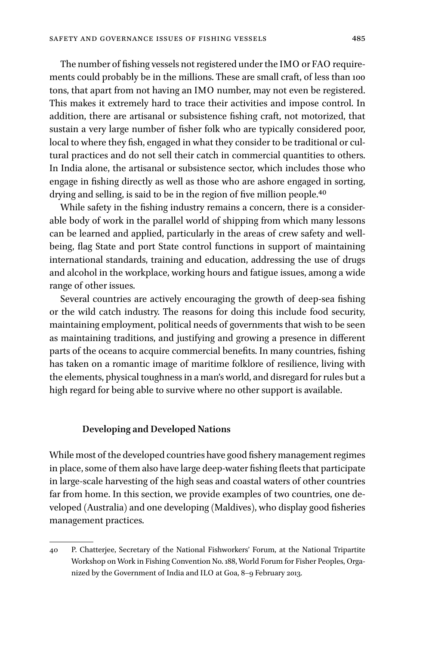The number of fishing vessels not registered under the IMO or FAO requirements could probably be in the millions. These are small craft, of less than 100 tons, that apart from not having an IMO number, may not even be registered. This makes it extremely hard to trace their activities and impose control. In addition, there are artisanal or subsistence fishing craft, not motorized, that sustain a very large number of fisher folk who are typically considered poor, local to where they fish, engaged in what they consider to be traditional or cultural practices and do not sell their catch in commercial quantities to others. In India alone, the artisanal or subsistence sector, which includes those who engage in fishing directly as well as those who are ashore engaged in sorting, drying and selling, is said to be in the region of five million people.40

While safety in the fishing industry remains a concern, there is a considerable body of work in the parallel world of shipping from which many lessons can be learned and applied, particularly in the areas of crew safety and wellbeing, flag State and port State control functions in support of maintaining international standards, training and education, addressing the use of drugs and alcohol in the workplace, working hours and fatigue issues, among a wide range of other issues.

Several countries are actively encouraging the growth of deep-sea fishing or the wild catch industry. The reasons for doing this include food security, maintaining employment, political needs of governments that wish to be seen as maintaining traditions, and justifying and growing a presence in different parts of the oceans to acquire commercial benefits. In many countries, fishing has taken on a romantic image of maritime folklore of resilience, living with the elements, physical toughness in a man's world, and disregard for rules but a high regard for being able to survive where no other support is available.

#### **Developing and Developed Nations**

While most of the developed countries have good fishery management regimes in place, some of them also have large deep-water fishing fleets that participate in large-scale harvesting of the high seas and coastal waters of other countries far from home. In this section, we provide examples of two countries, one developed (Australia) and one developing (Maldives), who display good fisheries management practices.

<sup>40</sup> P. Chatterjee, Secretary of the National Fishworkers' Forum, at the National Tripartite Workshop on Work in Fishing Convention No. 188, World Forum for Fisher Peoples, Organized by the Government of India and ILO at Goa, 8–9 February 2013.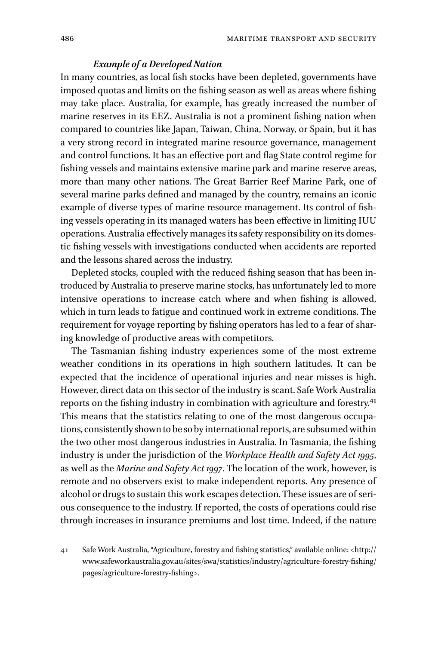### *Example of a Developed Nation*

In many countries, as local fish stocks have been depleted, governments have imposed quotas and limits on the fishing season as well as areas where fishing may take place. Australia, for example, has greatly increased the number of marine reserves in its EEZ. Australia is not a prominent fishing nation when compared to countries like Japan, Taiwan, China, Norway, or Spain, but it has a very strong record in integrated marine resource governance, management and control functions. It has an effective port and flag State control regime for fishing vessels and maintains extensive marine park and marine reserve areas, more than many other nations. The Great Barrier Reef Marine Park, one of several marine parks defined and managed by the country, remains an iconic example of diverse types of marine resource management. Its control of fishing vessels operating in its managed waters has been effective in limiting IUU operations. Australia effectively manages its safety responsibility on its domestic fishing vessels with investigations conducted when accidents are reported and the lessons shared across the industry.

Depleted stocks, coupled with the reduced fishing season that has been introduced by Australia to preserve marine stocks, has unfortunately led to more intensive operations to increase catch where and when fishing is allowed, which in turn leads to fatigue and continued work in extreme conditions. The requirement for voyage reporting by fishing operators has led to a fear of sharing knowledge of productive areas with competitors.

The Tasmanian fishing industry experiences some of the most extreme weather conditions in its operations in high southern latitudes. It can be expected that the incidence of operational injuries and near misses is high. However, direct data on this sector of the industry is scant. Safe Work Australia reports on the fishing industry in combination with agriculture and forestry.<sup>41</sup> This means that the statistics relating to one of the most dangerous occupations, consistently shown to be so by international reports, are subsumed within the two other most dangerous industries in Australia. In Tasmania, the fishing industry is under the jurisdiction of the *Workplace Health and Safety Act 1995*, as well as the *Marine and Safety Act 1997*. The location of the work, however, is remote and no observers exist to make independent reports. Any presence of alcohol or drugs to sustain this work escapes detection. These issues are of serious consequence to the industry. If reported, the costs of operations could rise through increases in insurance premiums and lost time. Indeed, if the nature

<sup>41</sup> Safe Work Australia, "Agriculture, forestry and fishing statistics," available online: <[http://](http://www.safeworkaustralia.gov.au/sites/swa/statistics/industry/agriculture-forestry-fishing/pages/agriculture-forestry-fishing) [www.safeworkaustralia.gov.au/sites/swa/statistics/industry/agriculture-forestry-fishing/](http://www.safeworkaustralia.gov.au/sites/swa/statistics/industry/agriculture-forestry-fishing/pages/agriculture-forestry-fishing) [pages/agriculture-forestry-fishing>](http://www.safeworkaustralia.gov.au/sites/swa/statistics/industry/agriculture-forestry-fishing/pages/agriculture-forestry-fishing).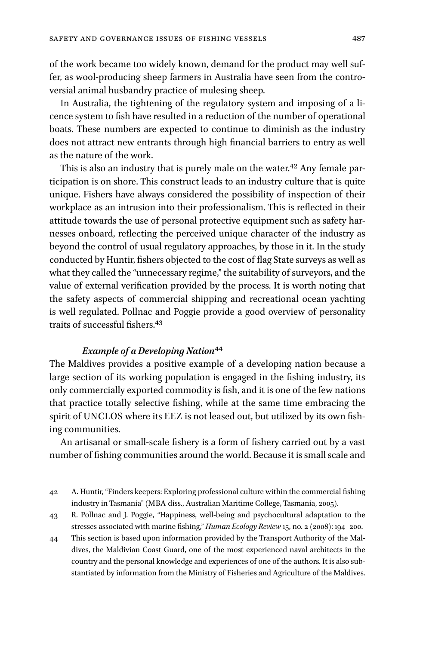of the work became too widely known, demand for the product may well suffer, as wool-producing sheep farmers in Australia have seen from the controversial animal husbandry practice of mulesing sheep.

In Australia, the tightening of the regulatory system and imposing of a licence system to fish have resulted in a reduction of the number of operational boats. These numbers are expected to continue to diminish as the industry does not attract new entrants through high financial barriers to entry as well as the nature of the work.

This is also an industry that is purely male on the water.<sup>42</sup> Any female participation is on shore. This construct leads to an industry culture that is quite unique. Fishers have always considered the possibility of inspection of their workplace as an intrusion into their professionalism. This is reflected in their attitude towards the use of personal protective equipment such as safety harnesses onboard, reflecting the perceived unique character of the industry as beyond the control of usual regulatory approaches, by those in it. In the study conducted by Huntir, fishers objected to the cost of flag State surveys as well as what they called the "unnecessary regime," the suitability of surveyors, and the value of external verification provided by the process. It is worth noting that the safety aspects of commercial shipping and recreational ocean yachting is well regulated. Pollnac and Poggie provide a good overview of personality traits of successful fishers<sup>43</sup>

# *Example of a Developing Nation***44**

The Maldives provides a positive example of a developing nation because a large section of its working population is engaged in the fishing industry, its only commercially exported commodity is fish, and it is one of the few nations that practice totally selective fishing, while at the same time embracing the spirit of UNCLOS where its EEZ is not leased out, but utilized by its own fishing communities.

An artisanal or small-scale fishery is a form of fishery carried out by a vast number of fishing communities around the world. Because it is small scale and

<sup>42</sup> A. Huntir, "Finders keepers: Exploring professional culture within the commercial fishing industry in Tasmania" (MBA diss., Australian Maritime College, Tasmania, 2005).

<sup>43</sup> R. Pollnac and J. Poggie, "Happiness, well-being and psychocultural adaptation to the stresses associated with marine fishing," *Human Ecology Review* 15, no. 2 (2008): 194–200.

<sup>44</sup> This section is based upon information provided by the Transport Authority of the Maldives, the Maldivian Coast Guard, one of the most experienced naval architects in the country and the personal knowledge and experiences of one of the authors. It is also substantiated by information from the Ministry of Fisheries and Agriculture of the Maldives.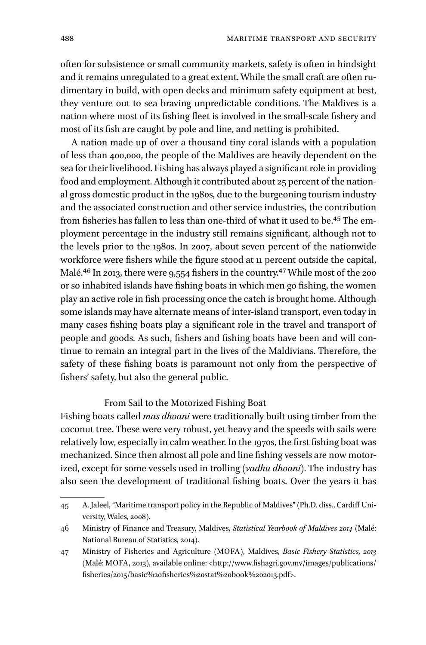often for subsistence or small community markets, safety is often in hindsight and it remains unregulated to a great extent. While the small craft are often rudimentary in build, with open decks and minimum safety equipment at best, they venture out to sea braving unpredictable conditions. The Maldives is a nation where most of its fishing fleet is involved in the small-scale fishery and most of its fish are caught by pole and line, and netting is prohibited.

A nation made up of over a thousand tiny coral islands with a population of less than 400,000, the people of the Maldives are heavily dependent on the sea for their livelihood. Fishing has always played a significant role in providing food and employment. Although it contributed about 25 percent of the national gross domestic product in the 1980s, due to the burgeoning tourism industry and the associated construction and other service industries, the contribution from fisheries has fallen to less than one-third of what it used to be.45 The employment percentage in the industry still remains significant, although not to the levels prior to the 1980s. In 2007, about seven percent of the nationwide workforce were fishers while the figure stood at 11 percent outside the capital, Malé.<sup>46</sup> In 2013, there were 9,554 fishers in the country.<sup>47</sup> While most of the 200 or so inhabited islands have fishing boats in which men go fishing, the women play an active role in fish processing once the catch is brought home. Although some islands may have alternate means of inter-island transport, even today in many cases fishing boats play a significant role in the travel and transport of people and goods. As such, fishers and fishing boats have been and will continue to remain an integral part in the lives of the Maldivians. Therefore, the safety of these fishing boats is paramount not only from the perspective of fishers' safety, but also the general public.

#### From Sail to the Motorized Fishing Boat

Fishing boats called *mas dhoani* were traditionally built using timber from the coconut tree. These were very robust, yet heavy and the speeds with sails were relatively low, especially in calm weather. In the 1970s, the first fishing boat was mechanized. Since then almost all pole and line fishing vessels are now motorized, except for some vessels used in trolling (*vadhu dhoani*). The industry has also seen the development of traditional fishing boats. Over the years it has

<sup>45</sup> A. Jaleel, "Maritime transport policy in the Republic of Maldives" (Ph.D. diss., Cardiff University, Wales, 2008).

<sup>46</sup> Ministry of Finance and Treasury, Maldives, *Statistical Yearbook of Maldives 2014* (Malé: National Bureau of Statistics, 2014).

<sup>47</sup> Ministry of Fisheries and Agriculture (MOFA), Maldives, *Basic Fishery Statistics, 2013* (Malé: MOFA, 2013), available online: <[http://www.fishagri.gov.mv/images/publications/](http://www.fishagri.gov.mv/images/publications/fisheries/2015/basic%20fisheries%20stat%20book%202013.pdf) [fisheries/2015/basic%20fisheries%20stat%20book%202013.pdf](http://www.fishagri.gov.mv/images/publications/fisheries/2015/basic%20fisheries%20stat%20book%202013.pdf)>.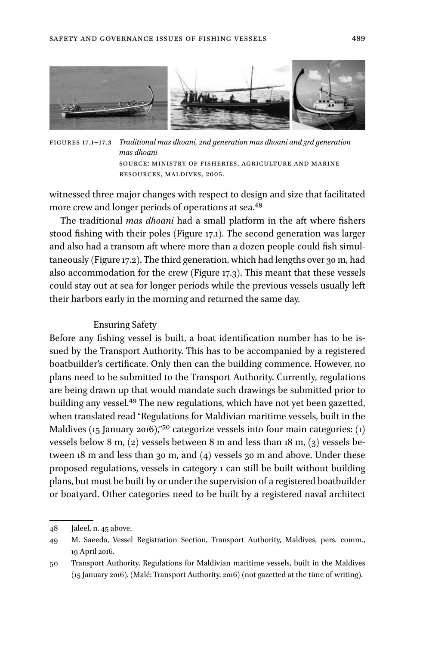

Figures 17.1–17.3 *Traditional mas dhoani, 2nd generation mas dhoani and 3rd generation mas dhoani* Source: Ministry of Fisheries, Agriculture and Marine Resources, Maldives, 2005.

witnessed three major changes with respect to design and size that facilitated more crew and longer periods of operations at sea.<sup>48</sup>

The traditional *mas dhoani* had a small platform in the aft where fishers stood fishing with their poles (Figure 17.1). The second generation was larger and also had a transom aft where more than a dozen people could fish simultaneously (Figure 17.2). The third generation, which had lengths over 30 m, had also accommodation for the crew (Figure 17.3). This meant that these vessels could stay out at sea for longer periods while the previous vessels usually left their harbors early in the morning and returned the same day.

#### Ensuring Safety

Before any fishing vessel is built, a boat identification number has to be issued by the Transport Authority. This has to be accompanied by a registered boatbuilder's certificate. Only then can the building commence. However, no plans need to be submitted to the Transport Authority. Currently, regulations are being drawn up that would mandate such drawings be submitted prior to building any vessel.<sup>49</sup> The new regulations, which have not yet been gazetted, when translated read "Regulations for Maldivian maritime vessels, built in the Maldives (15 January 2016),"50 categorize vessels into four main categories: (1) vessels below 8 m, (2) vessels between 8 m and less than 18 m, (3) vessels between 18 m and less than 30 m, and (4) vessels 30 m and above. Under these proposed regulations, vessels in category 1 can still be built without building plans, but must be built by or under the supervision of a registered boatbuilder or boatyard. Other categories need to be built by a registered naval architect

<sup>48</sup> Jaleel, n. 45 above.

<sup>49</sup> M. Saeeda, Vessel Registration Section, Transport Authority, Maldives, pers. comm., 19 April 2016.

<sup>50</sup> Transport Authority, Regulations for Maldivian maritime vessels, built in the Maldives (15 January 2016). (Malé: Transport Authority, 2016) (not gazetted at the time of writing).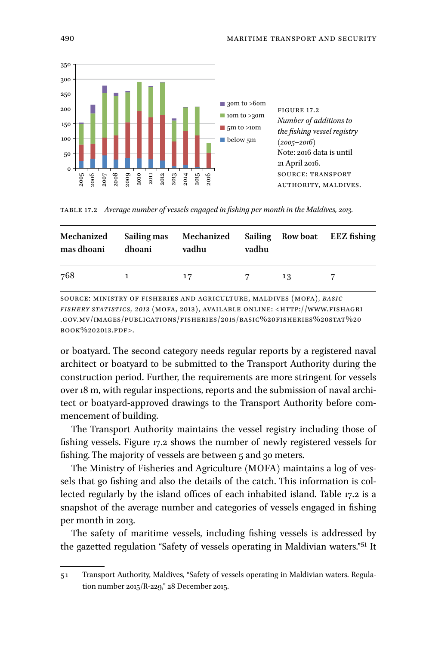

Table 17.2 *Average number of vessels engaged in fishing per month in the Maldives, 2013.*

| Mechanized<br>mas dhoani | dhoani | Sailing mas Mechanized Sailing Row boat EEZ fishing<br>vadhu | vadhu       |    |  |
|--------------------------|--------|--------------------------------------------------------------|-------------|----|--|
| 768                      |        | 17                                                           | $7^{\circ}$ | 13 |  |

Source: Ministry of Fisheries and Agriculture, Maldives (MOFA), *Basic Fishery Statistics, 2013* (MOFA, 2013), available online: <[http://www.fishagri](http://www.fishagri.gov.mv/images/publications/fisheries/2015/basic%20fisheries%20stat%20book%202013.pdf) [.gov.mv/images/publications/fisheries/2015/basic%20fisheries%20stat%20](http://www.fishagri.gov.mv/images/publications/fisheries/2015/basic%20fisheries%20stat%20book%202013.pdf) [book%202013.pdf>](http://www.fishagri.gov.mv/images/publications/fisheries/2015/basic%20fisheries%20stat%20book%202013.pdf).

or boatyard. The second category needs regular reports by a registered naval architect or boatyard to be submitted to the Transport Authority during the construction period. Further, the requirements are more stringent for vessels over 18 m, with regular inspections, reports and the submission of naval architect or boatyard-approved drawings to the Transport Authority before commencement of building.

The Transport Authority maintains the vessel registry including those of fishing vessels. Figure 17.2 shows the number of newly registered vessels for fishing. The majority of vessels are between 5 and 30 meters.

The Ministry of Fisheries and Agriculture (MOFA) maintains a log of vessels that go fishing and also the details of the catch. This information is collected regularly by the island offices of each inhabited island. Table 17.2 is a snapshot of the average number and categories of vessels engaged in fishing per month in 2013.

The safety of maritime vessels, including fishing vessels is addressed by the gazetted regulation "Safety of vessels operating in Maldivian waters."<sup>51</sup> It

<sup>51</sup> Transport Authority, Maldives, "Safety of vessels operating in Maldivian waters. Regulation number 2015/R-229," 28 December 2015.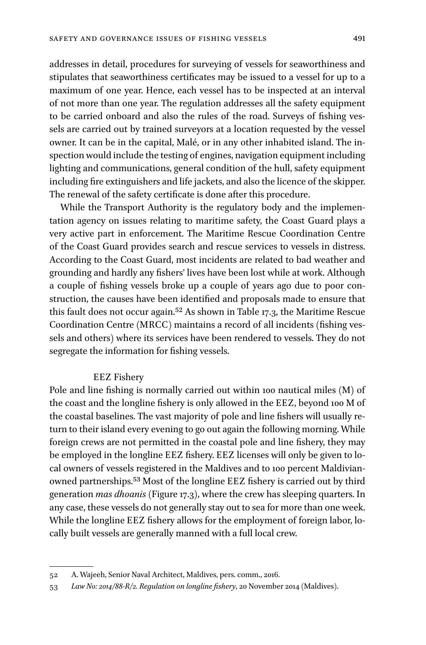addresses in detail, procedures for surveying of vessels for seaworthiness and stipulates that seaworthiness certificates may be issued to a vessel for up to a maximum of one year. Hence, each vessel has to be inspected at an interval of not more than one year. The regulation addresses all the safety equipment to be carried onboard and also the rules of the road. Surveys of fishing vessels are carried out by trained surveyors at a location requested by the vessel owner. It can be in the capital, Malé, or in any other inhabited island. The inspection would include the testing of engines, navigation equipment including lighting and communications, general condition of the hull, safety equipment including fire extinguishers and life jackets, and also the licence of the skipper. The renewal of the safety certificate is done after this procedure.

While the Transport Authority is the regulatory body and the implementation agency on issues relating to maritime safety, the Coast Guard plays a very active part in enforcement. The Maritime Rescue Coordination Centre of the Coast Guard provides search and rescue services to vessels in distress. According to the Coast Guard, most incidents are related to bad weather and grounding and hardly any fishers' lives have been lost while at work. Although a couple of fishing vessels broke up a couple of years ago due to poor construction, the causes have been identified and proposals made to ensure that this fault does not occur again.52 As shown in Table 17.3, the Maritime Rescue Coordination Centre (MRCC) maintains a record of all incidents (fishing vessels and others) where its services have been rendered to vessels. They do not segregate the information for fishing vessels.

# EEZ Fishery

Pole and line fishing is normally carried out within 100 nautical miles (M) of the coast and the longline fishery is only allowed in the EEZ, beyond 100 M of the coastal baselines. The vast majority of pole and line fishers will usually return to their island every evening to go out again the following morning. While foreign crews are not permitted in the coastal pole and line fishery, they may be employed in the longline EEZ fishery. EEZ licenses will only be given to local owners of vessels registered in the Maldives and to 100 percent Maldivianowned partnerships.53 Most of the longline EEZ fishery is carried out by third generation *mas dhoanis* (Figure 17.3), where the crew has sleeping quarters. In any case, these vessels do not generally stay out to sea for more than one week. While the longline EEZ fishery allows for the employment of foreign labor, locally built vessels are generally manned with a full local crew.

<sup>52</sup> A. Wajeeh, Senior Naval Architect, Maldives, pers. comm., 2016.

<sup>53</sup> *Law No: 2014/88-R/2. Regulation on longline fishery*, 20 November 2014 (Maldives).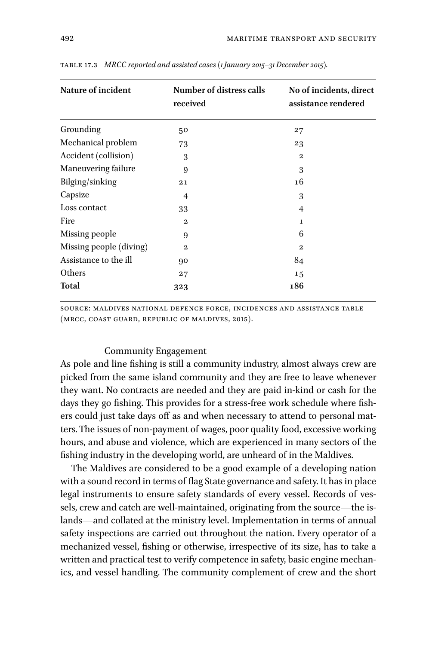| Nature of incident      | Number of distress calls<br>received | No of incidents, direct<br>assistance rendered |
|-------------------------|--------------------------------------|------------------------------------------------|
| Grounding               | 50                                   | 27                                             |
| Mechanical problem      | 73                                   | 23                                             |
| Accident (collision)    | 3                                    | $\mathbf{2}$                                   |
| Maneuvering failure     | 9                                    | 3                                              |
| Bilging/sinking         | 21                                   | 16                                             |
| Capsize                 | 4                                    | 3                                              |
| Loss contact            | 33                                   | 4                                              |
| Fire                    | $\mathbf{2}$                         | 1                                              |
| Missing people          | 9                                    | 6                                              |
| Missing people (diving) | $\mathbf{2}$                         | $\mathbf{2}$                                   |
| Assistance to the ill   | 90                                   | 84                                             |
| Others                  | 27                                   | 15                                             |
| Total                   | 323                                  | 186                                            |

Table 17.3 *MRCC reported and assisted cases (1 January 2015–31 December 2015).*

Source: Maldives National Defence Force, Incidences and assistance table (MRCC, Coast Guard, Republic of Maldives, 2015).

#### Community Engagement

As pole and line fishing is still a community industry, almost always crew are picked from the same island community and they are free to leave whenever they want. No contracts are needed and they are paid in-kind or cash for the days they go fishing. This provides for a stress-free work schedule where fishers could just take days off as and when necessary to attend to personal matters. The issues of non-payment of wages, poor quality food, excessive working hours, and abuse and violence, which are experienced in many sectors of the fishing industry in the developing world, are unheard of in the Maldives.

The Maldives are considered to be a good example of a developing nation with a sound record in terms of flag State governance and safety. It has in place legal instruments to ensure safety standards of every vessel. Records of vessels, crew and catch are well-maintained, originating from the source—the islands—and collated at the ministry level. Implementation in terms of annual safety inspections are carried out throughout the nation. Every operator of a mechanized vessel, fishing or otherwise, irrespective of its size, has to take a written and practical test to verify competence in safety, basic engine mechanics, and vessel handling. The community complement of crew and the short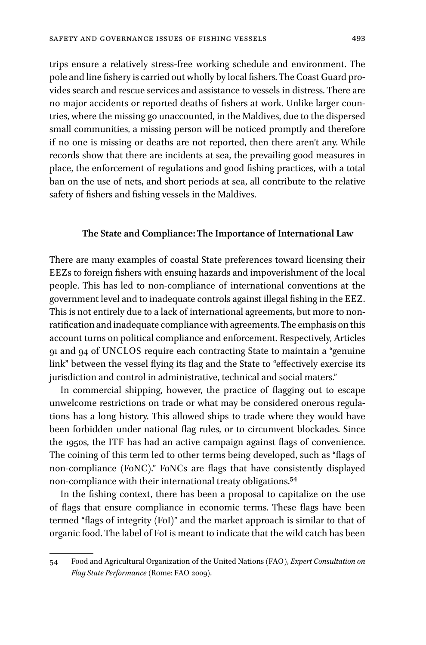trips ensure a relatively stress-free working schedule and environment. The pole and line fishery is carried out wholly by local fishers. The Coast Guard provides search and rescue services and assistance to vessels in distress. There are no major accidents or reported deaths of fishers at work. Unlike larger countries, where the missing go unaccounted, in the Maldives, due to the dispersed small communities, a missing person will be noticed promptly and therefore if no one is missing or deaths are not reported, then there aren't any. While records show that there are incidents at sea, the prevailing good measures in place, the enforcement of regulations and good fishing practices, with a total ban on the use of nets, and short periods at sea, all contribute to the relative safety of fishers and fishing vessels in the Maldives.

#### **The State and Compliance: The Importance of International Law**

There are many examples of coastal State preferences toward licensing their EEZs to foreign fishers with ensuing hazards and impoverishment of the local people. This has led to non-compliance of international conventions at the government level and to inadequate controls against illegal fishing in the EEZ. This is not entirely due to a lack of international agreements, but more to nonratification and inadequate compliance with agreements. The emphasis on this account turns on political compliance and enforcement. Respectively, Articles 91 and 94 of UNCLOS require each contracting State to maintain a "genuine link" between the vessel flying its flag and the State to "effectively exercise its jurisdiction and control in administrative, technical and social maters."

In commercial shipping, however, the practice of flagging out to escape unwelcome restrictions on trade or what may be considered onerous regulations has a long history. This allowed ships to trade where they would have been forbidden under national flag rules, or to circumvent blockades. Since the 1950s, the ITF has had an active campaign against flags of convenience. The coining of this term led to other terms being developed, such as "flags of non-compliance (FoNC)." FoNCs are flags that have consistently displayed non-compliance with their international treaty obligations.<sup>54</sup>

In the fishing context, there has been a proposal to capitalize on the use of flags that ensure compliance in economic terms. These flags have been termed "flags of integrity (FoI)" and the market approach is similar to that of organic food. The label of FoI is meant to indicate that the wild catch has been

<sup>54</sup> Food and Agricultural Organization of the United Nations (FAO), *Expert Consultation on Flag State Performance* (Rome: FAO 2009).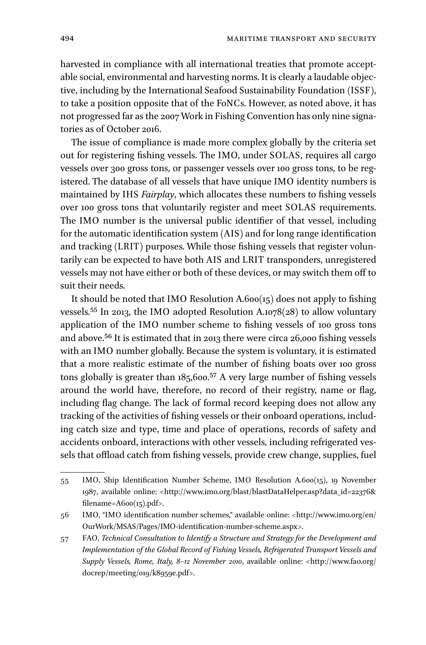harvested in compliance with all international treaties that promote acceptable social, environmental and harvesting norms. It is clearly a laudable objective, including by the International Seafood Sustainability Foundation (ISSF), to take a position opposite that of the FoNCs. However, as noted above, it has not progressed far as the 2007 Work in Fishing Convention has only nine signatories as of October 2016.

The issue of compliance is made more complex globally by the criteria set out for registering fishing vessels. The IMO, under SOLAS, requires all cargo vessels over 300 gross tons, or passenger vessels over 100 gross tons, to be registered. The database of all vessels that have unique IMO identity numbers is maintained by IHS *Fairplay*, which allocates these numbers to fishing vessels over 100 gross tons that voluntarily register and meet SOLAS requirements. The IMO number is the universal public identifier of that vessel, including for the automatic identification system (AIS) and for long range identification and tracking (LRIT) purposes. While those fishing vessels that register voluntarily can be expected to have both AIS and LRIT transponders, unregistered vessels may not have either or both of these devices, or may switch them off to suit their needs.

It should be noted that IMO Resolution A.600(15) does not apply to fishing vessels.55 In 2013, the IMO adopted Resolution A.1078(28) to allow voluntary application of the IMO number scheme to fishing vessels of 100 gross tons and above.56 It is estimated that in 2013 there were circa 26,000 fishing vessels with an IMO number globally. Because the system is voluntary, it is estimated that a more realistic estimate of the number of fishing boats over 100 gross tons globally is greater than 185,600.<sup>57</sup> A very large number of fishing vessels around the world have, therefore, no record of their registry, name or flag, including flag change. The lack of formal record keeping does not allow any tracking of the activities of fishing vessels or their onboard operations, including catch size and type, time and place of operations, records of safety and accidents onboard, interactions with other vessels, including refrigerated vessels that offload catch from fishing vessels, provide crew change, supplies, fuel

<sup>55</sup> IMO, Ship Identification Number Scheme, IMO Resolution A.600(15), 19 November 1987, available online: <[http://www.imo.org/blast/blastDataHelper.asp?data\\_id=22376&](http://www.imo.org/blast/blastDataHelper.asp?data_id=22376&filename=A600(15).pdf) [filename=A600\(15\).pdf](http://www.imo.org/blast/blastDataHelper.asp?data_id=22376&filename=A600(15).pdf)>.

<sup>56</sup> IMO, "IMO identification number schemes," available online: <[http://www.imo.org/en/](http://www.imo.org/en/OurWork/MSAS/Pages/IMO-identification-number-scheme.aspx) [OurWork/MSAS/Pages/IMO-identification-number-scheme.aspx>](http://www.imo.org/en/OurWork/MSAS/Pages/IMO-identification-number-scheme.aspx).

<sup>57</sup> FAO, *Technical Consultation to Identify a Structure and Strategy for the Development and Implementation of the Global Record of Fishing Vessels, Refrigerated Transport Vessels and Supply Vessels, Rome, Italy, 8–12 November 2010*, available online: [<http://www.fao.org/](http://www.fao.org/docrep/meeting/019/k8959e.pdf) [docrep/meeting/019/k8959e.pdf>](http://www.fao.org/docrep/meeting/019/k8959e.pdf).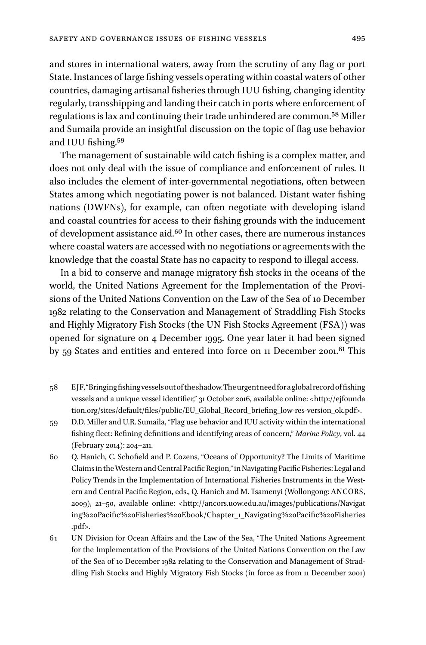and stores in international waters, away from the scrutiny of any flag or port State. Instances of large fishing vessels operating within coastal waters of other countries, damaging artisanal fisheries through IUU fishing, changing identity regularly, transshipping and landing their catch in ports where enforcement of regulations is lax and continuing their trade unhindered are common.58 Miller and Sumaila provide an insightful discussion on the topic of flag use behavior and IUU fishing.59

The management of sustainable wild catch fishing is a complex matter, and does not only deal with the issue of compliance and enforcement of rules. It also includes the element of inter-governmental negotiations, often between States among which negotiating power is not balanced. Distant water fishing nations (DWFNs), for example, can often negotiate with developing island and coastal countries for access to their fishing grounds with the inducement of development assistance aid.<sup>60</sup> In other cases, there are numerous instances where coastal waters are accessed with no negotiations or agreements with the knowledge that the coastal State has no capacity to respond to illegal access.

In a bid to conserve and manage migratory fish stocks in the oceans of the world, the United Nations Agreement for the Implementation of the Provisions of the United Nations Convention on the Law of the Sea of 10 December 1982 relating to the Conservation and Management of Straddling Fish Stocks and Highly Migratory Fish Stocks (the UN Fish Stocks Agreement (FSA)) was opened for signature on 4 December 1995. One year later it had been signed by 59 States and entities and entered into force on 11 December 2001.<sup>61</sup> This

<sup>58</sup> EJF, "Bringing fishing vessels out of the shadow. The urgent need for a global record of fishing vessels and a unique vessel identifier," 31 October 2016, available online: [<http://ejfounda](http://ejfoundation.org/sites/default/files/public/EU_Global_Record_briefing_low-res-version_ok.pdf) [tion.org/sites/default/files/public/EU\\_Global\\_Record\\_briefing\\_low-res-version\\_ok.pdf](http://ejfoundation.org/sites/default/files/public/EU_Global_Record_briefing_low-res-version_ok.pdf)>.

<sup>59</sup> D.D. Miller and U.R. Sumaila, "Flag use behavior and IUU activity within the international fishing fleet: Refining definitions and identifying areas of concern," *Marine Policy*, vol. 44 (February 2014): 204–211.

<sup>60</sup> Q. Hanich, C. Schofield and P. Cozens, "Oceans of Opportunity? The Limits of Maritime Claims in the Western and Central Pacific Region," in Navigating Pacific Fisheries: Legal and Policy Trends in the Implementation of International Fisheries Instruments in the Western and Central Pacific Region, eds., Q. Hanich and M. Tsamenyi (Wollongong: ANCORS, 2009), 21–50, available online: <[http://ancors.uow.edu.au/images/publications/Navigat](http://ancors.uow.edu.au/images/publications/Navigating%20Pacific%20Fisheries%20Ebook/Chapter_1_Navigating%20Pacific%20Fisheries.pdf) [ing%20Pacific%20Fisheries%20Ebook/Chapter\\_1\\_Navigating%20Pacific%20Fisheries](http://ancors.uow.edu.au/images/publications/Navigating%20Pacific%20Fisheries%20Ebook/Chapter_1_Navigating%20Pacific%20Fisheries.pdf) [.pdf>](http://ancors.uow.edu.au/images/publications/Navigating%20Pacific%20Fisheries%20Ebook/Chapter_1_Navigating%20Pacific%20Fisheries.pdf).

<sup>61</sup> UN Division for Ocean Affairs and the Law of the Sea, "The United Nations Agreement for the Implementation of the Provisions of the United Nations Convention on the Law of the Sea of 10 December 1982 relating to the Conservation and Management of Straddling Fish Stocks and Highly Migratory Fish Stocks (in force as from 11 December 2001)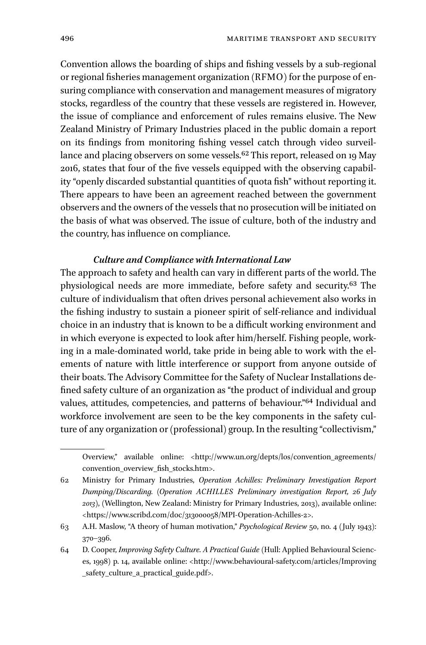Convention allows the boarding of ships and fishing vessels by a sub-regional or regional fisheries management organization (RFMO) for the purpose of ensuring compliance with conservation and management measures of migratory stocks, regardless of the country that these vessels are registered in. However, the issue of compliance and enforcement of rules remains elusive. The New Zealand Ministry of Primary Industries placed in the public domain a report on its findings from monitoring fishing vessel catch through video surveillance and placing observers on some vessels.<sup>62</sup> This report, released on 19 May 2016, states that four of the five vessels equipped with the observing capability "openly discarded substantial quantities of quota fish" without reporting it. There appears to have been an agreement reached between the government observers and the owners of the vessels that no prosecution will be initiated on the basis of what was observed. The issue of culture, both of the industry and the country, has influence on compliance.

#### *Culture and Compliance with International Law*

The approach to safety and health can vary in different parts of the world. The physiological needs are more immediate, before safety and security.63 The culture of individualism that often drives personal achievement also works in the fishing industry to sustain a pioneer spirit of self-reliance and individual choice in an industry that is known to be a difficult working environment and in which everyone is expected to look after him/herself. Fishing people, working in a male-dominated world, take pride in being able to work with the elements of nature with little interference or support from anyone outside of their boats. The Advisory Committee for the Safety of Nuclear Installations defined safety culture of an organization as "the product of individual and group values, attitudes, competencies, and patterns of behaviour."<sup>64</sup> Individual and workforce involvement are seen to be the key components in the safety culture of any organization or (professional) group. In the resulting "collectivism,"

Overview," available online: [<http://www.un.org/depts/los/convention\\_agreements/](http://www.un.org/depts/los/convention_agreements/convention_overview_fish_stocks.htm) [convention\\_overview\\_fish\\_stocks.htm](http://www.un.org/depts/los/convention_agreements/convention_overview_fish_stocks.htm)>.

<sup>62</sup> Ministry for Primary Industries, *Operation Achilles: Preliminary Investigation Report Dumping/Discarding. (Operation ACHILLES Preliminary investigation Report, 26 July 2013)*, (Wellington, New Zealand: Ministry for Primary Industries, 2013), available online: [<https://www.scribd.com/doc/313000058/MPI-Operation-Achilles-2](https://www.scribd.com/doc/313000058/MPI-Operation-Achilles-2)>.

<sup>63</sup> A.H. Maslow, "A theory of human motivation," *Psychological Review* 50, no. 4 (July 1943): 370–396.

<sup>64</sup> D. Cooper, *Improving Safety Culture. A Practical Guide* (Hull: Applied Behavioural Sciences, 1998) p. 14, available online: <[http://www.behavioural-safety.com/articles/Improving](http://www.behavioural-safety.com/articles/Improving_safety_culture_a_practical_guide.pdf) [\\_safety\\_culture\\_a\\_practical\\_guide.pdf>](http://www.behavioural-safety.com/articles/Improving_safety_culture_a_practical_guide.pdf).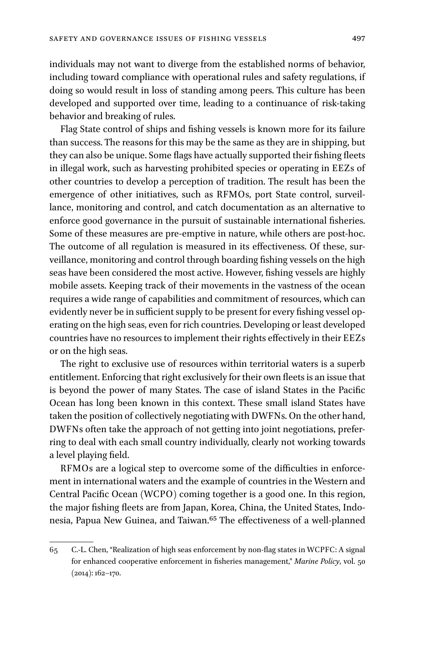individuals may not want to diverge from the established norms of behavior, including toward compliance with operational rules and safety regulations, if doing so would result in loss of standing among peers. This culture has been developed and supported over time, leading to a continuance of risk-taking behavior and breaking of rules.

Flag State control of ships and fishing vessels is known more for its failure than success. The reasons for this may be the same as they are in shipping, but they can also be unique. Some flags have actually supported their fishing fleets in illegal work, such as harvesting prohibited species or operating in EEZs of other countries to develop a perception of tradition. The result has been the emergence of other initiatives, such as RFMOs, port State control, surveillance, monitoring and control, and catch documentation as an alternative to enforce good governance in the pursuit of sustainable international fisheries. Some of these measures are pre-emptive in nature, while others are post-hoc. The outcome of all regulation is measured in its effectiveness. Of these, surveillance, monitoring and control through boarding fishing vessels on the high seas have been considered the most active. However, fishing vessels are highly mobile assets. Keeping track of their movements in the vastness of the ocean requires a wide range of capabilities and commitment of resources, which can evidently never be in sufficient supply to be present for every fishing vessel operating on the high seas, even for rich countries. Developing or least developed countries have no resources to implement their rights effectively in their EEZs or on the high seas.

The right to exclusive use of resources within territorial waters is a superb entitlement. Enforcing that right exclusively for their own fleets is an issue that is beyond the power of many States. The case of island States in the Pacific Ocean has long been known in this context. These small island States have taken the position of collectively negotiating with DWFNs. On the other hand, DWFNs often take the approach of not getting into joint negotiations, preferring to deal with each small country individually, clearly not working towards a level playing field.

RFMOs are a logical step to overcome some of the difficulties in enforcement in international waters and the example of countries in the Western and Central Pacific Ocean (WCPO) coming together is a good one. In this region, the major fishing fleets are from Japan, Korea, China, the United States, Indonesia, Papua New Guinea, and Taiwan.<sup>65</sup> The effectiveness of a well-planned

<sup>65</sup> C.-L. Chen, "Realization of high seas enforcement by non-flag states in WCPFC: A signal for enhanced cooperative enforcement in fisheries management," *Marine Policy*, vol. 50 (2014): 162–170.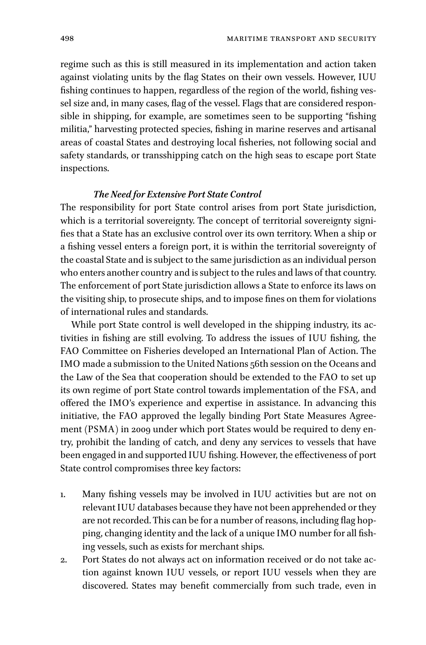regime such as this is still measured in its implementation and action taken against violating units by the flag States on their own vessels. However, IUU fishing continues to happen, regardless of the region of the world, fishing vessel size and, in many cases, flag of the vessel. Flags that are considered responsible in shipping, for example, are sometimes seen to be supporting "fishing militia," harvesting protected species, fishing in marine reserves and artisanal areas of coastal States and destroying local fisheries, not following social and safety standards, or transshipping catch on the high seas to escape port State inspections.

#### *The Need for Extensive Port State Control*

The responsibility for port State control arises from port State jurisdiction, which is a territorial sovereignty. The concept of territorial sovereignty signifies that a State has an exclusive control over its own territory. When a ship or a fishing vessel enters a foreign port, it is within the territorial sovereignty of the coastal State and is subject to the same jurisdiction as an individual person who enters another country and is subject to the rules and laws of that country. The enforcement of port State jurisdiction allows a State to enforce its laws on the visiting ship, to prosecute ships, and to impose fines on them for violations of international rules and standards.

While port State control is well developed in the shipping industry, its activities in fishing are still evolving. To address the issues of IUU fishing, the FAO Committee on Fisheries developed an International Plan of Action. The IMO made a submission to the United Nations 56th session on the Oceans and the Law of the Sea that cooperation should be extended to the FAO to set up its own regime of port State control towards implementation of the FSA, and offered the IMO's experience and expertise in assistance. In advancing this initiative, the FAO approved the legally binding Port State Measures Agreement (PSMA) in 2009 under which port States would be required to deny entry, prohibit the landing of catch, and deny any services to vessels that have been engaged in and supported IUU fishing. However, the effectiveness of port State control compromises three key factors:

- 1. Many fishing vessels may be involved in IUU activities but are not on relevant IUU databases because they have not been apprehended or they are not recorded. This can be for a number of reasons, including flag hopping, changing identity and the lack of a unique IMO number for all fishing vessels, such as exists for merchant ships.
- 2. Port States do not always act on information received or do not take action against known IUU vessels, or report IUU vessels when they are discovered. States may benefit commercially from such trade, even in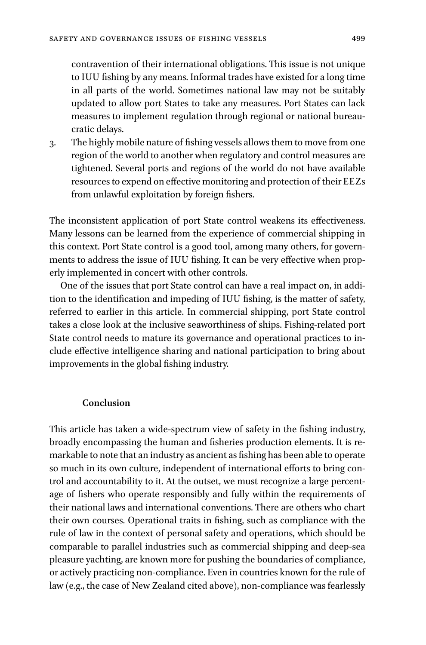contravention of their international obligations. This issue is not unique to IUU fishing by any means. Informal trades have existed for a long time in all parts of the world. Sometimes national law may not be suitably updated to allow port States to take any measures. Port States can lack measures to implement regulation through regional or national bureaucratic delays.

3. The highly mobile nature of fishing vessels allows them to move from one region of the world to another when regulatory and control measures are tightened. Several ports and regions of the world do not have available resources to expend on effective monitoring and protection of their EEZs from unlawful exploitation by foreign fishers.

The inconsistent application of port State control weakens its effectiveness. Many lessons can be learned from the experience of commercial shipping in this context. Port State control is a good tool, among many others, for governments to address the issue of IUU fishing. It can be very effective when properly implemented in concert with other controls.

One of the issues that port State control can have a real impact on, in addition to the identification and impeding of IUU fishing, is the matter of safety, referred to earlier in this article. In commercial shipping, port State control takes a close look at the inclusive seaworthiness of ships. Fishing-related port State control needs to mature its governance and operational practices to include effective intelligence sharing and national participation to bring about improvements in the global fishing industry.

## **Conclusion**

This article has taken a wide-spectrum view of safety in the fishing industry, broadly encompassing the human and fisheries production elements. It is remarkable to note that an industry as ancient as fishing has been able to operate so much in its own culture, independent of international efforts to bring control and accountability to it. At the outset, we must recognize a large percentage of fishers who operate responsibly and fully within the requirements of their national laws and international conventions. There are others who chart their own courses. Operational traits in fishing, such as compliance with the rule of law in the context of personal safety and operations, which should be comparable to parallel industries such as commercial shipping and deep-sea pleasure yachting, are known more for pushing the boundaries of compliance, or actively practicing non-compliance. Even in countries known for the rule of law (e.g., the case of New Zealand cited above), non-compliance was fearlessly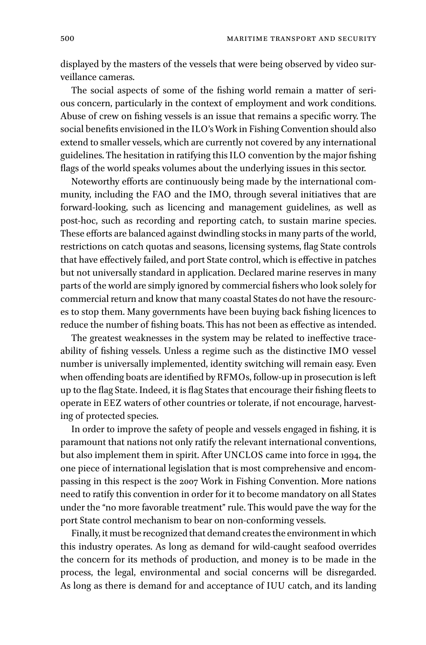displayed by the masters of the vessels that were being observed by video surveillance cameras.

The social aspects of some of the fishing world remain a matter of serious concern, particularly in the context of employment and work conditions. Abuse of crew on fishing vessels is an issue that remains a specific worry. The social benefits envisioned in the ILO's Work in Fishing Convention should also extend to smaller vessels, which are currently not covered by any international guidelines. The hesitation in ratifying this ILO convention by the major fishing flags of the world speaks volumes about the underlying issues in this sector.

Noteworthy efforts are continuously being made by the international community, including the FAO and the IMO, through several initiatives that are forward-looking, such as licencing and management guidelines, as well as post-hoc, such as recording and reporting catch, to sustain marine species. These efforts are balanced against dwindling stocks in many parts of the world, restrictions on catch quotas and seasons, licensing systems, flag State controls that have effectively failed, and port State control, which is effective in patches but not universally standard in application. Declared marine reserves in many parts of the world are simply ignored by commercial fishers who look solely for commercial return and know that many coastal States do not have the resources to stop them. Many governments have been buying back fishing licences to reduce the number of fishing boats. This has not been as effective as intended.

The greatest weaknesses in the system may be related to ineffective traceability of fishing vessels. Unless a regime such as the distinctive IMO vessel number is universally implemented, identity switching will remain easy. Even when offending boats are identified by RFMOs, follow-up in prosecution is left up to the flag State. Indeed, it is flag States that encourage their fishing fleets to operate in EEZ waters of other countries or tolerate, if not encourage, harvesting of protected species.

In order to improve the safety of people and vessels engaged in fishing, it is paramount that nations not only ratify the relevant international conventions, but also implement them in spirit. After UNCLOS came into force in 1994, the one piece of international legislation that is most comprehensive and encompassing in this respect is the 2007 Work in Fishing Convention. More nations need to ratify this convention in order for it to become mandatory on all States under the "no more favorable treatment" rule. This would pave the way for the port State control mechanism to bear on non-conforming vessels.

Finally, it must be recognized that demand creates the environment in which this industry operates. As long as demand for wild-caught seafood overrides the concern for its methods of production, and money is to be made in the process, the legal, environmental and social concerns will be disregarded. As long as there is demand for and acceptance of IUU catch, and its landing